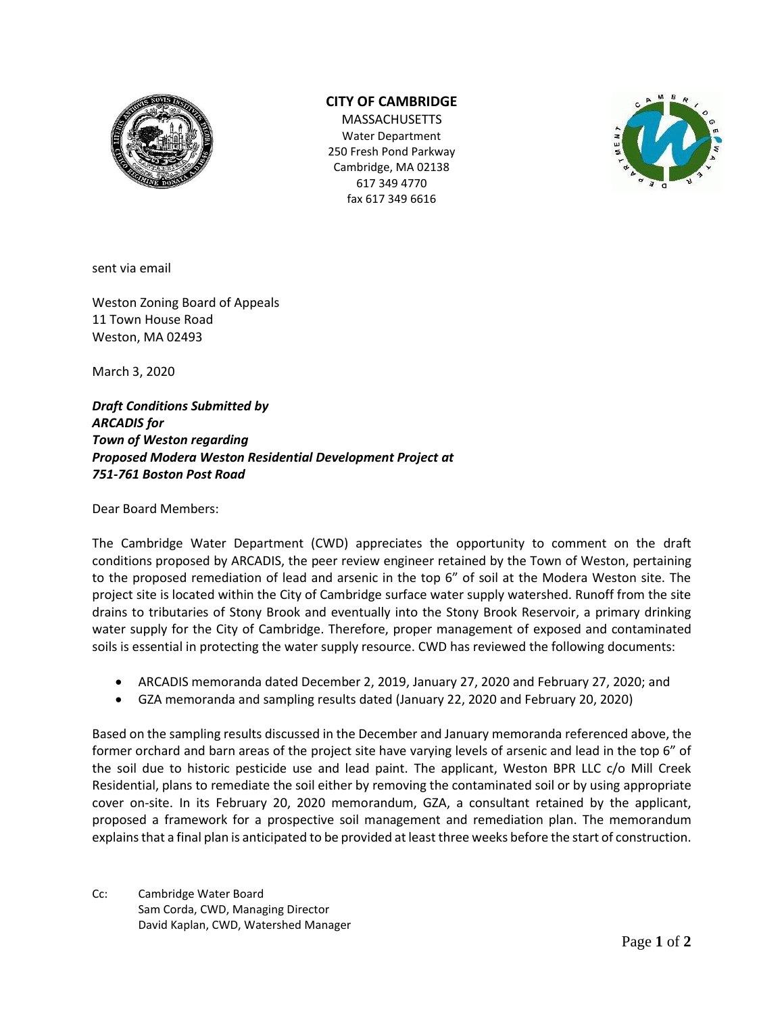

## **CITY OF CAMBRIDGE**

**MASSACHUSETTS** Water Department 250 Fresh Pond Parkway Cambridge, MA 02138 617 349 4770 fax 617 349 6616



sent via email

Weston Zoning Board of Appeals 11 Town House Road Weston, MA 02493

March 3, 2020

*Draft Conditions Submitted by ARCADIS for Town of Weston regarding Proposed Modera Weston Residential Development Project at 751-761 Boston Post Road*

Dear Board Members:

The Cambridge Water Department (CWD) appreciates the opportunity to comment on the draft conditions proposed by ARCADIS, the peer review engineer retained by the Town of Weston, pertaining to the proposed remediation of lead and arsenic in the top 6" of soil at the Modera Weston site. The project site is located within the City of Cambridge surface water supply watershed. Runoff from the site drains to tributaries of Stony Brook and eventually into the Stony Brook Reservoir, a primary drinking water supply for the City of Cambridge. Therefore, proper management of exposed and contaminated soils is essential in protecting the water supply resource. CWD has reviewed the following documents:

- ARCADIS memoranda dated December 2, 2019, January 27, 2020 and February 27, 2020; and
- GZA memoranda and sampling results dated (January 22, 2020 and February 20, 2020)

Based on the sampling results discussed in the December and January memoranda referenced above, the former orchard and barn areas of the project site have varying levels of arsenic and lead in the top 6" of the soil due to historic pesticide use and lead paint. The applicant, Weston BPR LLC c/o Mill Creek Residential, plans to remediate the soil either by removing the contaminated soil or by using appropriate cover on-site. In its February 20, 2020 memorandum, GZA, a consultant retained by the applicant, proposed a framework for a prospective soil management and remediation plan. The memorandum explains that a final plan is anticipated to be provided at least three weeks before the start of construction.

Cc: Cambridge Water Board Sam Corda, CWD, Managing Director David Kaplan, CWD, Watershed Manager